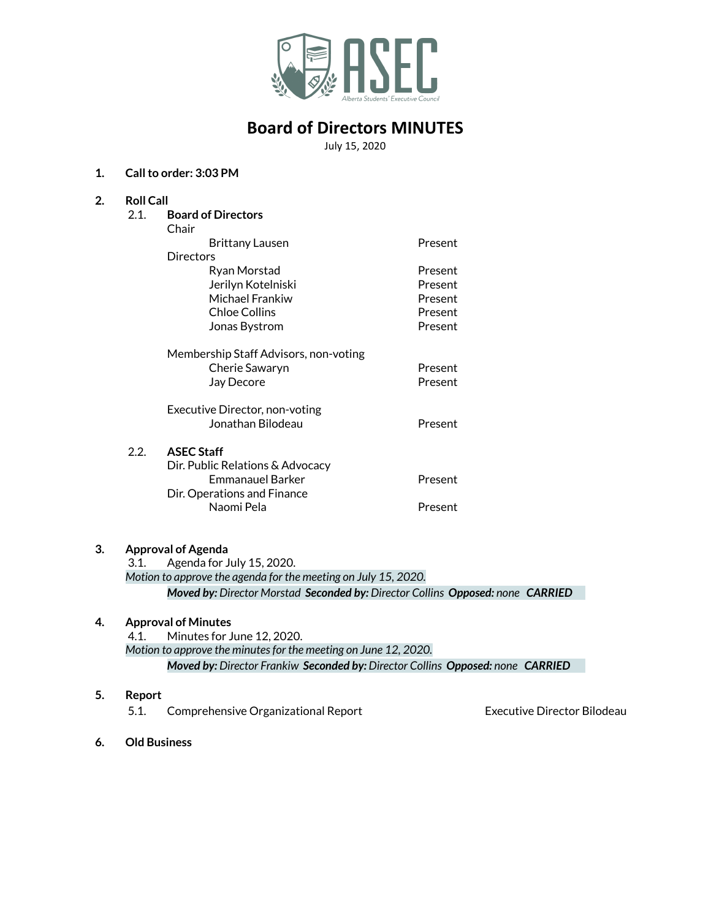

# **Board of Directors MINUTES**

July 15, 2020

## **1. Callto order: 3:03 PM**

| 2. | <b>Roll Call</b>          |                                                                                                                                                                                                                                                                                                                                    |         |  |
|----|---------------------------|------------------------------------------------------------------------------------------------------------------------------------------------------------------------------------------------------------------------------------------------------------------------------------------------------------------------------------|---------|--|
|    | 2.1.                      | <b>Board of Directors</b>                                                                                                                                                                                                                                                                                                          |         |  |
|    |                           | Chair                                                                                                                                                                                                                                                                                                                              |         |  |
|    |                           | <b>Brittany Lausen</b>                                                                                                                                                                                                                                                                                                             | Present |  |
|    |                           | Directors                                                                                                                                                                                                                                                                                                                          |         |  |
|    |                           | Ryan Morstad                                                                                                                                                                                                                                                                                                                       | Present |  |
|    |                           | Jerilyn Kotelniski                                                                                                                                                                                                                                                                                                                 | Present |  |
|    |                           | Michael Frankiw                                                                                                                                                                                                                                                                                                                    | Present |  |
|    |                           | <b>Chloe Collins</b>                                                                                                                                                                                                                                                                                                               | Present |  |
|    |                           | Jonas Bystrom                                                                                                                                                                                                                                                                                                                      | Present |  |
|    |                           | Membership Staff Advisors, non-voting                                                                                                                                                                                                                                                                                              |         |  |
|    |                           | Cherie Sawaryn                                                                                                                                                                                                                                                                                                                     | Present |  |
|    |                           | Jay Decore                                                                                                                                                                                                                                                                                                                         | Present |  |
|    |                           | Executive Director, non-voting                                                                                                                                                                                                                                                                                                     |         |  |
|    |                           | Jonathan Bilodeau                                                                                                                                                                                                                                                                                                                  | Present |  |
|    | 2.2.                      | <b>ASEC Staff</b>                                                                                                                                                                                                                                                                                                                  |         |  |
|    |                           | Dir. Public Relations & Advocacy                                                                                                                                                                                                                                                                                                   |         |  |
|    |                           | <b>Emmanauel Barker</b>                                                                                                                                                                                                                                                                                                            | Present |  |
|    |                           | Dir. Operations and Finance                                                                                                                                                                                                                                                                                                        |         |  |
|    |                           | Naomi Pela                                                                                                                                                                                                                                                                                                                         | Present |  |
|    |                           |                                                                                                                                                                                                                                                                                                                                    |         |  |
| 3. | <b>Approval of Agenda</b> |                                                                                                                                                                                                                                                                                                                                    |         |  |
|    |                           | 3.1. Agenda for July 15, 2020.                                                                                                                                                                                                                                                                                                     |         |  |
|    |                           | $\mathbf{u}$ $\mathbf{v}$ $\mathbf{u}$ $\mathbf{v}$ $\mathbf{v}$ $\mathbf{v}$ $\mathbf{v}$ $\mathbf{v}$ $\mathbf{v}$ $\mathbf{v}$ $\mathbf{v}$ $\mathbf{v}$ $\mathbf{v}$ $\mathbf{v}$ $\mathbf{v}$ $\mathbf{v}$ $\mathbf{v}$ $\mathbf{v}$ $\mathbf{v}$ $\mathbf{v}$ $\mathbf{v}$ $\mathbf{v}$ $\mathbf{v}$ $\mathbf{v}$ $\mathbf{$ |         |  |

*Motion to approve the agenda for the meeting on July 15, 2020. Moved by: Director Morstad Seconded by: Director Collins Opposed: none CARRIED*

## **4. Approval of Minutes**

4.1. Minutes for June 12, 2020. *Motion to approve the minutesfor the meeting on June 12, 2020. Moved by: Director Frankiw Seconded by: Director Collins Opposed: none CARRIED*

## **5. Report**

5.1. Comprehensive Organizational Report Executive Director Bilodeau

**6. Old Business**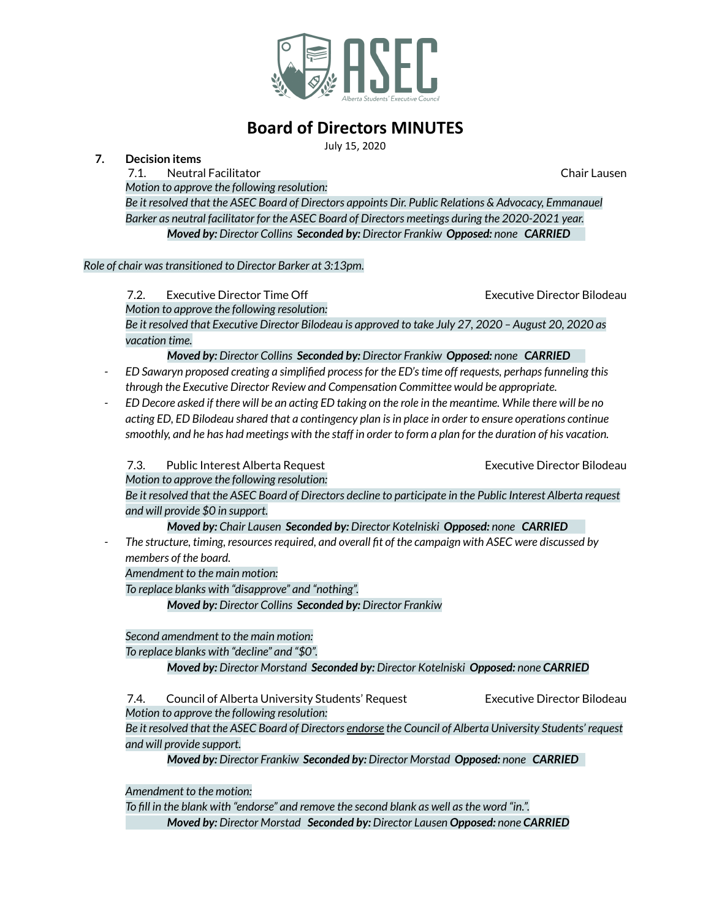

# **Board of Directors MINUTES**

July 15, 2020

## **7. Decision items**

7.1. Neutral Facilitator Chair Lausen

*Motion to approve the following resolution: Be it resolved that the ASEC Board of Directors appoints Dir. Public Relations & Advocacy, Emmanauel Barker as neutral facilitator for the ASEC Board of Directors meetings during the 2020-2021 year. Moved by: Director Collins Seconded by: Director Frankiw Opposed: none CARRIED*

## *Role of chair wastransitioned to Director Barker at 3:13pm.*

7.2. Executive Director Time Off Executive Director Bilodeau *Motion to approve the following resolution:* Be it resolved that Executive Director Bilodeau is approved to take July 27, 2020 - August 20, 2020 as *vacation time.*

# *Moved by: Director Collins Seconded by: Director Frankiw Opposed: none CARRIED*

- *- ED Sawaryn proposed creating a simplified processfor the ED'stime off requests, perhapsfunneling this through the Executive Director Review and Compensation Committee would be appropriate.*
- ED Decore asked if there will be an acting ED taking on the role in the meantime. While there will be no *acting ED, ED Bilodeau shared that a contingency plan isin place in order to ensure operations continue* smoothly, and he has had meetings with the staff in order to form a plan for the duration of his vacation.

7.3. Public Interest Alberta Request **Executive Director Bilodeau** 

*Motion to approve the following resolution:*

Be it resolved that the ASEC Board of Directors decline to participate in the Public Interest Alberta request *and will provide \$0 in support.*

*Moved by: Chair Lausen Seconded by: Director Kotelniski Opposed: none CARRIED*

*- The structure, timing, resourcesrequired, and overall fit of the campaign with ASEC were discussed by members of the board.*

*Amendment to the main motion:*

*To replace blanks with "disapprove" and "nothing".*

*Moved by: Director Collins Seconded by: Director Frankiw*

*Second amendment to the main motion:*

*To replace blanks with "decline" and "\$0".*

*Moved by: Director Morstand Seconded by: Director Kotelniski Opposed: none CARRIED*

7.4. Council of Alberta University Students' Request Executive Director Bilodeau *Motion to approve the following resolution:*

Be it resolved that the ASEC Board of Directors endorse the Council of Alberta University Students' request *and will provide support.*

*Moved by: Director Frankiw Seconded by: Director Morstad Opposed: none CARRIED*

*Amendment to the motion:*

*To fill in the blank with "endorse" and remove the second blank as well asthe word "in.". Moved by: Director Morstad Seconded by: Director Lausen Opposed: none CARRIED*